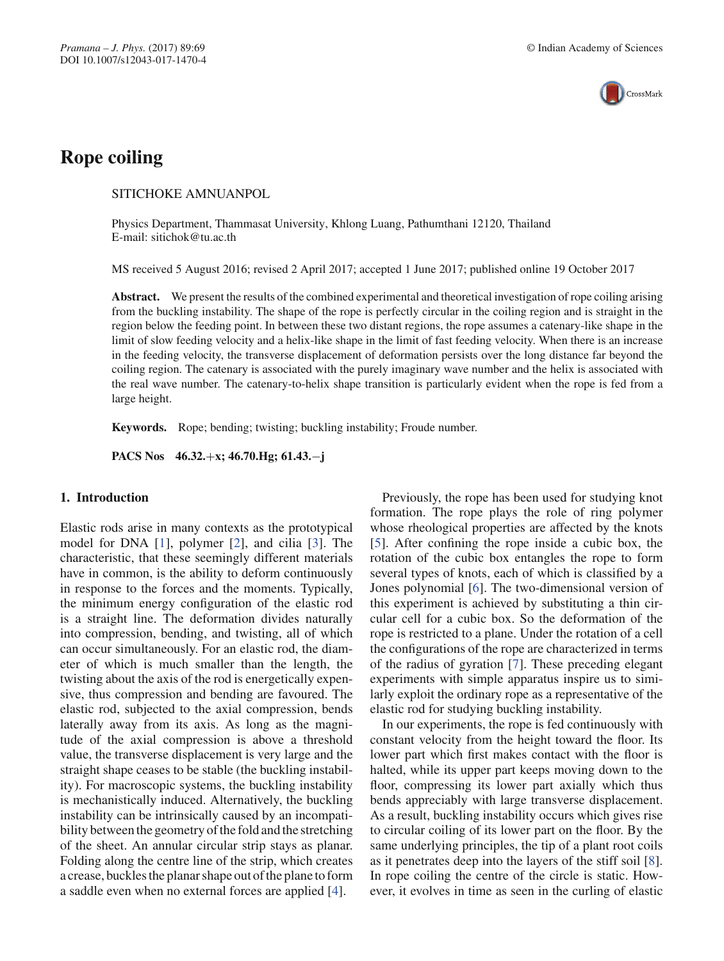

# **Rope coiling**

SITICHOKE AMNUANPOL

Physics Department, Thammasat University, Khlong Luang, Pathumthani 12120, Thailand E-mail: sitichok@tu.ac.th

MS received 5 August 2016; revised 2 April 2017; accepted 1 June 2017; published online 19 October 2017

**Abstract.** We present the results of the combined experimental and theoretical investigation of rope coiling arising from the buckling instability. The shape of the rope is perfectly circular in the coiling region and is straight in the region below the feeding point. In between these two distant regions, the rope assumes a catenary-like shape in the limit of slow feeding velocity and a helix-like shape in the limit of fast feeding velocity. When there is an increase in the feeding velocity, the transverse displacement of deformation persists over the long distance far beyond the coiling region. The catenary is associated with the purely imaginary wave number and the helix is associated with the real wave number. The catenary-to-helix shape transition is particularly evident when the rope is fed from a large height.

**Keywords.** Rope; bending; twisting; buckling instability; Froude number.

**PACS Nos 46.32.**+**x; 46.70.Hg; 61.43.**−**j**

# **1. Introduction**

Elastic rods arise in many contexts as the prototypical model for DNA [1], polymer [2], and cilia [3]. The characteristic, that these seemingly different materials have in common, is the ability to deform continuously in response to the forces and the moments. Typically, the minimum energy configuration of the elastic rod is a straight line. The deformation divides naturally into compression, bending, and twisting, all of which can occur simultaneously. For an elastic rod, the diameter of which is much smaller than the length, the twisting about the axis of the rod is energetically expensive, thus compression and bending are favoured. The elastic rod, subjected to the axial compression, bends laterally away from its axis. As long as the magnitude of the axial compression is above a threshold value, the transverse displacement is very large and the straight shape ceases to be stable (the buckling instability). For macroscopic systems, the buckling instability is mechanistically induced. Alternatively, the buckling instability can be intrinsically caused by an incompatibility between the geometry of the fold and the stretching of the sheet. An annular circular strip stays as planar. Folding along the centre line of the strip, which creates a crease, buckles the planar shape out of the plane to form a saddle even when no external forces are applied [4].

Previously, the rope has been used for studying knot formation. The rope plays the role of ring polymer whose rheological properties are affected by the knots [5]. After confining the rope inside a cubic box, the rotation of the cubic box entangles the rope to form several types of knots, each of which is classified by a Jones polynomial [6]. The two-dimensional version of this experiment is achieved by substituting a thin circular cell for a cubic box. So the deformation of the rope is restricted to a plane. Under the rotation of a cell the configurations of the rope are characterized in terms of the radius of gyration [7]. These preceding elegant experiments with simple apparatus inspire us to similarly exploit the ordinary rope as a representative of the elastic rod for studying buckling instability.

In our experiments, the rope is fed continuously with constant velocity from the height toward the floor. Its lower part which first makes contact with the floor is halted, while its upper part keeps moving down to the floor, compressing its lower part axially which thus bends appreciably with large transverse displacement. As a result, buckling instability occurs which gives rise to circular coiling of its lower part on the floor. By the same underlying principles, the tip of a plant root coils as it penetrates deep into the layers of the stiff soil [8]. In rope coiling the centre of the circle is static. However, it evolves in time as seen in the curling of elastic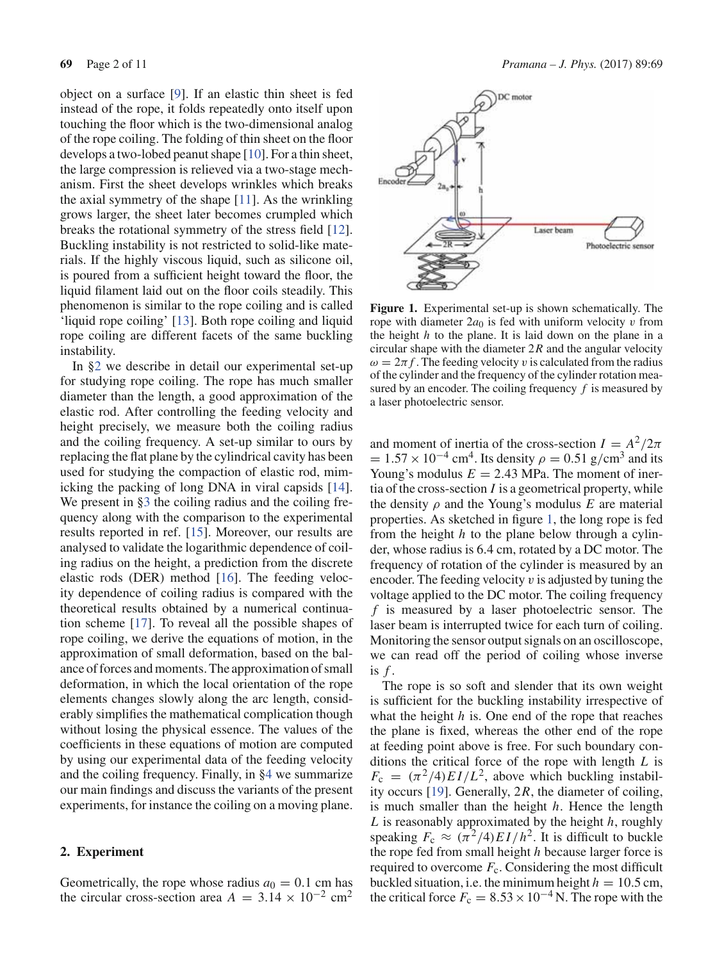object on a surface [9]. If an elastic thin sheet is fed instead of the rope, it folds repeatedly onto itself upon touching the floor which is the two-dimensional analog of the rope coiling. The folding of thin sheet on the floor develops a two-lobed peanut shape [10]. For a thin sheet, the large compression is relieved via a two-stage mechanism. First the sheet develops wrinkles which breaks the axial symmetry of the shape [11]. As the wrinkling grows larger, the sheet later becomes crumpled which breaks the rotational symmetry of the stress field [12]. Buckling instability is not restricted to solid-like materials. If the highly viscous liquid, such as silicone oil, is poured from a sufficient height toward the floor, the liquid filament laid out on the floor coils steadily. This phenomenon is similar to the rope coiling and is called 'liquid rope coiling' [13]. Both rope coiling and liquid rope coiling are different facets of the same buckling instability.

In §2 we describe in detail our experimental set-up for studying rope coiling. The rope has much smaller diameter than the length, a good approximation of the elastic rod. After controlling the feeding velocity and height precisely, we measure both the coiling radius and the coiling frequency. A set-up similar to ours by replacing the flat plane by the cylindrical cavity has been used for studying the compaction of elastic rod, mimicking the packing of long DNA in viral capsids [14]. We present in §3 the coiling radius and the coiling frequency along with the comparison to the experimental results reported in ref. [15]. Moreover, our results are analysed to validate the logarithmic dependence of coiling radius on the height, a prediction from the discrete elastic rods (DER) method [16]. The feeding velocity dependence of coiling radius is compared with the theoretical results obtained by a numerical continuation scheme [17]. To reveal all the possible shapes of rope coiling, we derive the equations of motion, in the approximation of small deformation, based on the balance of forces and moments. The approximation of small deformation, in which the local orientation of the rope elements changes slowly along the arc length, considerably simplifies the mathematical complication though without losing the physical essence. The values of the coefficients in these equations of motion are computed by using our experimental data of the feeding velocity and the coiling frequency. Finally, in §4 we summarize our main findings and discuss the variants of the present experiments, for instance the coiling on a moving plane.

### **2. Experiment**

Geometrically, the rope whose radius  $a_0 = 0.1$  cm has the circular cross-section area  $A = 3.14 \times 10^{-2}$  cm<sup>2</sup>



**Figure 1.** Experimental set-up is shown schematically. The rope with diameter  $2a_0$  is fed with uniform velocity v from the height *h* to the plane. It is laid down on the plane in a circular shape with the diameter 2*R* and the angular velocity  $\omega = 2\pi f$ . The feeding velocity v is calculated from the radius of the cylinder and the frequency of the cylinder rotation measured by an encoder. The coiling frequency *f* is measured by a laser photoelectric sensor.

and moment of inertia of the cross-section  $I = A^2/2\pi$  $= 1.57 \times 10^{-4}$  cm<sup>4</sup>. Its density  $\rho = 0.51$  g/cm<sup>3</sup> and its Young's modulus  $E = 2.43$  MPa. The moment of inertia of the cross-section *I* is a geometrical property, while the density  $\rho$  and the Young's modulus  $E$  are material properties. As sketched in figure 1, the long rope is fed from the height *h* to the plane below through a cylinder, whose radius is 6.4 cm, rotated by a DC motor. The frequency of rotation of the cylinder is measured by an encoder. The feeding velocity  $v$  is adjusted by tuning the voltage applied to the DC motor. The coiling frequency *f* is measured by a laser photoelectric sensor. The laser beam is interrupted twice for each turn of coiling. Monitoring the sensor output signals on an oscilloscope, we can read off the period of coiling whose inverse is *f* .

The rope is so soft and slender that its own weight is sufficient for the buckling instability irrespective of what the height *h* is. One end of the rope that reaches the plane is fixed, whereas the other end of the rope at feeding point above is free. For such boundary conditions the critical force of the rope with length *L* is  $F_c = (\pi^2/4) E I/L^2$ , above which buckling instability occurs [19]. Generally, 2*R*, the diameter of coiling, is much smaller than the height *h*. Hence the length *L* is reasonably approximated by the height *h*, roughly speaking  $F_c \approx (\pi^2/4) E I/h^2$ . It is difficult to buckle the rope fed from small height *h* because larger force is required to overcome  $F_c$ . Considering the most difficult buckled situation, i.e. the minimum height  $h = 10.5$  cm, the critical force  $F_c = 8.53 \times 10^{-4}$  N. The rope with the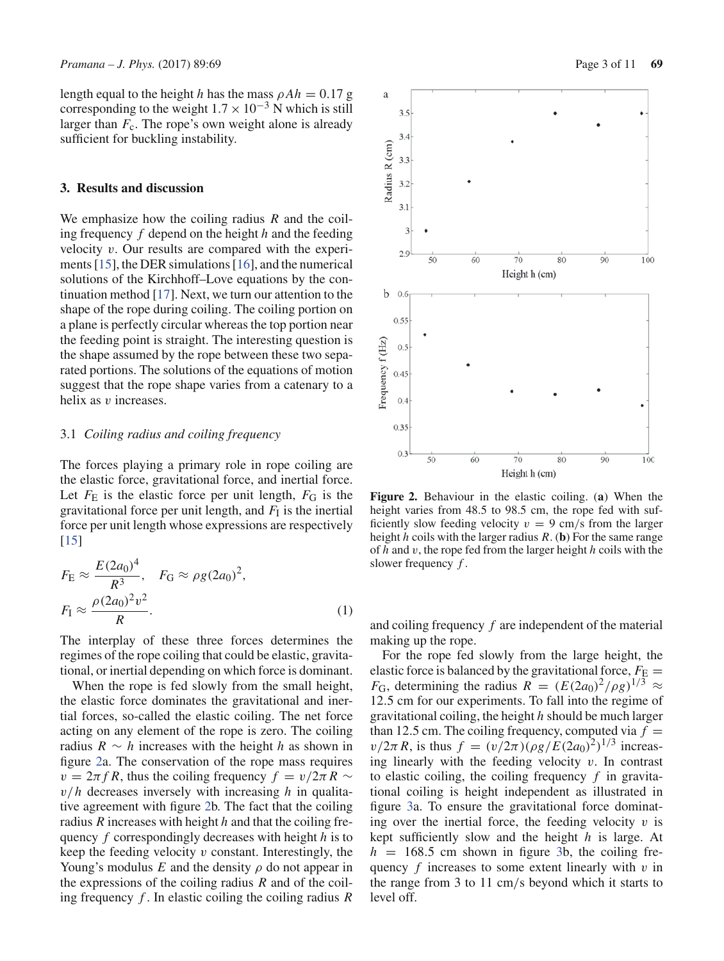length equal to the height *h* has the mass  $\rho Ah = 0.17$  g corresponding to the weight  $1.7 \times 10^{-3}$  N which is still larger than  $F_c$ . The rope's own weight alone is already sufficient for buckling instability.

#### **3. Results and discussion**

We emphasize how the coiling radius *R* and the coiling frequency *f* depend on the height *h* and the feeding velocity  $v$ . Our results are compared with the experiments [15], the DER simulations [16], and the numerical solutions of the Kirchhoff–Love equations by the continuation method [17]. Next, we turn our attention to the shape of the rope during coiling. The coiling portion on a plane is perfectly circular whereas the top portion near the feeding point is straight. The interesting question is the shape assumed by the rope between these two separated portions. The solutions of the equations of motion suggest that the rope shape varies from a catenary to a helix as *v* increases.

# 3.1 *Coiling radius and coiling frequency*

The forces playing a primary role in rope coiling are the elastic force, gravitational force, and inertial force. Let  $F_{\text{E}}$  is the elastic force per unit length,  $F_{\text{G}}$  is the gravitational force per unit length, and  $F<sub>I</sub>$  is the inertial force per unit length whose expressions are respectively  $[15]$ 

$$
F_{\rm E} \approx \frac{E(2a_0)^4}{R^3}, \quad F_{\rm G} \approx \rho g (2a_0)^2,
$$
  

$$
F_{\rm I} \approx \frac{\rho (2a_0)^2 v^2}{R}.
$$
 (1)

The interplay of these three forces determines the regimes of the rope coiling that could be elastic, gravitational, or inertial depending on which force is dominant.

When the rope is fed slowly from the small height, the elastic force dominates the gravitational and inertial forces, so-called the elastic coiling. The net force acting on any element of the rope is zero. The coiling radius  $R \sim h$  increases with the height *h* as shown in figure 2a. The conservation of the rope mass requires  $v = 2\pi f R$ , thus the coiling frequency  $f = v/2\pi R \sim$ v/*h* decreases inversely with increasing *h* in qualitative agreement with figure 2b. The fact that the coiling radius *R* increases with height *h* and that the coiling frequency *f* correspondingly decreases with height *h* is to keep the feeding velocity  $v$  constant. Interestingly, the Young's modulus  $E$  and the density  $\rho$  do not appear in the expressions of the coiling radius *R* and of the coiling frequency *f* . In elastic coiling the coiling radius *R*



**Figure 2.** Behaviour in the elastic coiling. (**a**) When the height varies from 48.5 to 98.5 cm, the rope fed with sufficiently slow feeding velocity  $v = 9$  cm/s from the larger height *h* coils with the larger radius *R*. (**b**) For the same range of *h* and v, the rope fed from the larger height *h* coils with the slower frequency *f* .

and coiling frequency *f* are independent of the material making up the rope.

For the rope fed slowly from the large height, the elastic force is balanced by the gravitational force,  $F_{\rm E}$  = *F*<sub>G</sub>, determining the radius  $R = (E(2a_0)^2/\rho g)^{1/3} \approx$ 12.5 cm for our experiments. To fall into the regime of gravitational coiling, the height *h* should be much larger than 12.5 cm. The coiling frequency, computed via  $f =$  $v/2\pi R$ , is thus  $f = (v/2\pi)(\rho g/E(2a_0)^2)^{1/3}$  increasing linearly with the feeding velocity  $v$ . In contrast to elastic coiling, the coiling frequency *f* in gravitational coiling is height independent as illustrated in figure 3a. To ensure the gravitational force dominating over the inertial force, the feeding velocity  $v$  is kept sufficiently slow and the height *h* is large. At  $h = 168.5$  cm shown in figure 3b, the coiling frequency  $f$  increases to some extent linearly with  $v$  in the range from 3 to 11 cm/s beyond which it starts to level off.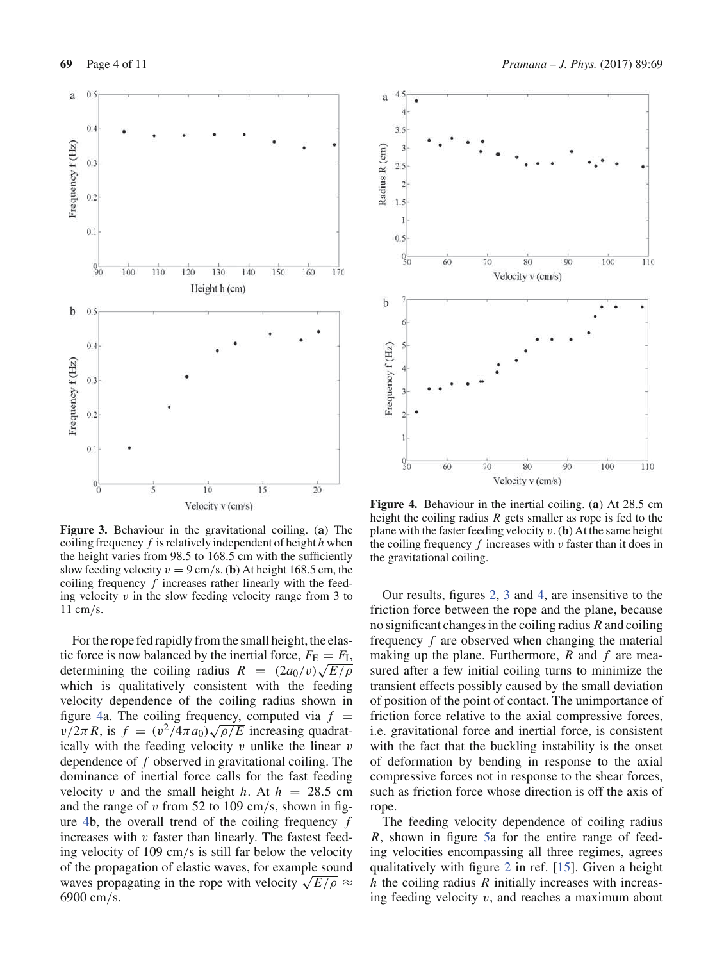

**Figure 3.** Behaviour in the gravitational coiling. (**a**) The coiling frequency *f* is relatively independent of height *h* when the height varies from 98.5 to 168.5 cm with the sufficiently slow feeding velocity  $v = 9$  cm/s. (**b**) At height 168.5 cm, the coiling frequency *f* increases rather linearly with the feeding velocity  $v$  in the slow feeding velocity range from 3 to 11 cm/s.

For the rope fed rapidly from the small height, the elastic force is now balanced by the inertial force,  $F_{\rm E} = F_{\rm I}$ , determining the coiling radius  $R = (2a_0/v)\sqrt{E/\rho}$ which is qualitatively consistent with the feeding velocity dependence of the coiling radius shown in figure 4a. The coiling frequency, computed via  $f =$  $v/2\pi R$ , is  $f = (v^2/4\pi a_0)\sqrt{\rho/E}$  increasing quadratically with the feeding velocity  $v$  unlike the linear  $v$ dependence of *f* observed in gravitational coiling. The dominance of inertial force calls for the fast feeding velocity v and the small height *h*. At  $h = 28.5$  cm and the range of  $v$  from 52 to 109 cm/s, shown in figure 4b, the overall trend of the coiling frequency *f* increases with  $v$  faster than linearly. The fastest feeding velocity of 109 cm/s is still far below the velocity of the propagation of elastic waves, for example sound waves propagating in the rope with velocity  $\sqrt{E/\rho} \approx$ 6900 cm/s.



**Figure 4.** Behaviour in the inertial coiling. (**a**) At 28.5 cm height the coiling radius *R* gets smaller as rope is fed to the plane with the faster feeding velocity  $v$ . (**b**) At the same height the coiling frequency  $f$  increases with  $v$  faster than it does in the gravitational coiling.

Our results, figures 2, 3 and 4, are insensitive to the friction force between the rope and the plane, because no significant changes in the coiling radius *R* and coiling frequency *f* are observed when changing the material making up the plane. Furthermore, *R* and *f* are measured after a few initial coiling turns to minimize the transient effects possibly caused by the small deviation of position of the point of contact. The unimportance of friction force relative to the axial compressive forces, i.e. gravitational force and inertial force, is consistent with the fact that the buckling instability is the onset of deformation by bending in response to the axial compressive forces not in response to the shear forces, such as friction force whose direction is off the axis of rope.

The feeding velocity dependence of coiling radius *R*, shown in figure 5a for the entire range of feeding velocities encompassing all three regimes, agrees qualitatively with figure 2 in ref. [15]. Given a height *h* the coiling radius *R* initially increases with increasing feeding velocity  $v$ , and reaches a maximum about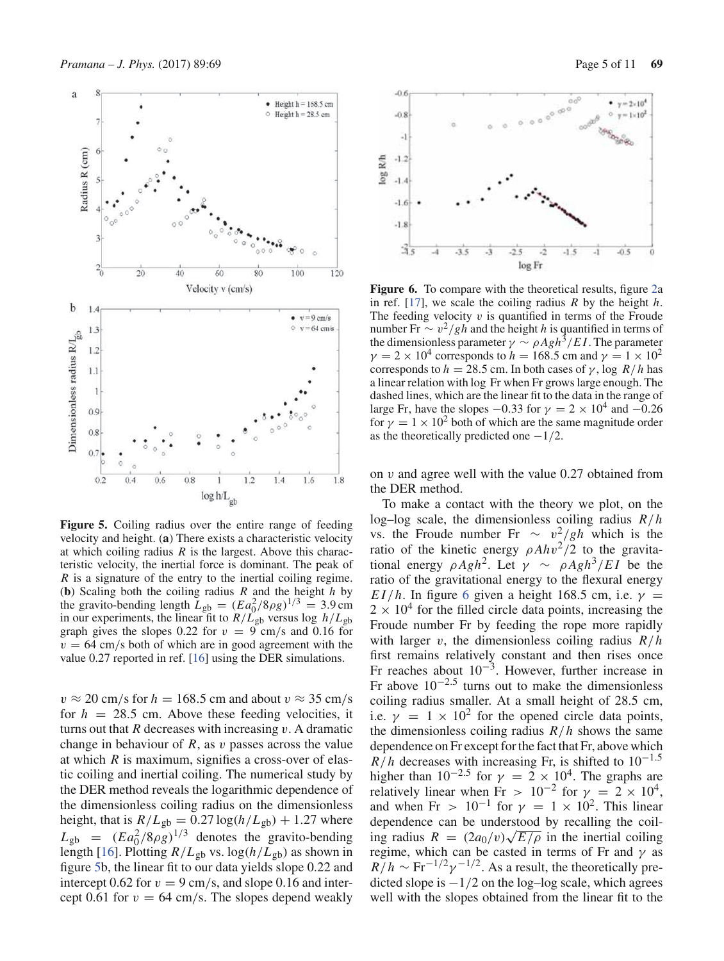

**Figure 5.** Coiling radius over the entire range of feeding velocity and height. (**a**) There exists a characteristic velocity at which coiling radius  $R$  is the largest. Above this characteristic velocity, the inertial force is dominant. The peak of *R* is a signature of the entry to the inertial coiling regime. (**b**) Scaling both the coiling radius *R* and the height *h* by the gravito-bending length  $L_{gb} = (Ea_0^2/8\rho g)^{1/3} = 3.9 \text{ cm}$ in our experiments, the linear fit to  $R/L_{gb}$  versus log  $h/L_{gb}$ graph gives the slopes 0.22 for  $v = 9$  cm/s and 0.16 for  $v = 64$  cm/s both of which are in good agreement with the value 0.27 reported in ref. [16] using the DER simulations.

 $v \approx 20$  cm/s for  $h = 168.5$  cm and about  $v \approx 35$  cm/s for  $h = 28.5$  cm. Above these feeding velocities, it turns out that  $R$  decreases with increasing  $v$ . A dramatic change in behaviour of  $R$ , as  $v$  passes across the value at which *R* is maximum, signifies a cross-over of elastic coiling and inertial coiling. The numerical study by the DER method reveals the logarithmic dependence of the dimensionless coiling radius on the dimensionless height, that is  $R/L_{gb} = 0.27 \log(h/L_{gb}) + 1.27$  where  $L_{gb} = (Ea_0^2/8\rho g)^{1/3}$  denotes the gravito-bending length [16]. Plotting  $R/L_{gb}$  vs.  $log(h/L_{gb})$  as shown in figure 5b, the linear fit to our data yields slope 0.22 and intercept 0.62 for  $v = 9$  cm/s, and slope 0.16 and intercept 0.61 for  $v = 64$  cm/s. The slopes depend weakly



Figure 6. To compare with the theoretical results, figure 2a in ref. [17], we scale the coiling radius *R* by the height *h*. The feeding velocity  $v$  is quantified in terms of the Froude number Fr  $\sim v^2/gh$  and the height *h* is quantified in terms of the dimensionless parameter  $\gamma \sim \rho A g h^3 / E I$ . The parameter  $\gamma = 2 \times 10^4$  corresponds to  $h = 168.5$  cm and  $\gamma = 1 \times 10^2$ corresponds to  $h = 28.5$  cm. In both cases of  $\gamma$ , log  $R/h$  has a linear relation with log Fr when Fr grows large enough. The dashed lines, which are the linear fit to the data in the range of large Fr, have the slopes  $-0.33$  for  $\gamma = 2 \times 10^4$  and  $-0.26$ for  $\gamma = 1 \times 10^2$  both of which are the same magnitude order as the theoretically predicted one  $-1/2$ .

on  $v$  and agree well with the value 0.27 obtained from the DER method.

To make a contact with the theory we plot, on the log–log scale, the dimensionless coiling radius *R*/*h* vs. the Froude number Fr  $\sim v^2/gh$  which is the ratio of the kinetic energy  $\rho Ahv^2/2$  to the gravitational energy  $\rho A g h^2$ . Let  $\gamma \sim \rho A g h^3 / EI$  be the ratio of the gravitational energy to the flexural energy *EI* /*h*. In figure 6 given a height 168.5 cm, i.e.  $\gamma$  =  $2 \times 10^4$  for the filled circle data points, increasing the Froude number Fr by feeding the rope more rapidly with larger v, the dimensionless coiling radius *R*/*h* first remains relatively constant and then rises once Fr reaches about  $10^{-3}$ . However, further increase in Fr above  $10^{-2.5}$  turns out to make the dimensionless coiling radius smaller. At a small height of 28.5 cm, i.e.  $\gamma = 1 \times 10^2$  for the opened circle data points, the dimensionless coiling radius  $R/h$  shows the same dependence on Fr except for the fact that Fr, above which *R*/*h* decreases with increasing Fr, is shifted to 10−1.<sup>5</sup> higher than  $10^{-2.5}$  for  $\gamma = 2 \times 10^4$ . The graphs are relatively linear when Fr >  $10^{-2}$  for  $\gamma = 2 \times 10^{4}$ , and when Fr >  $10^{-1}$  for  $\gamma = 1 \times 10^{2}$ . This linear dependence can be understood by recalling the coiling radius  $R = (2a_0/v)\sqrt{E/\rho}$  in the inertial coiling regime, which can be casted in terms of Fr and  $\gamma$  as  $R/h \sim Fr^{-1/2} \gamma^{-1/2}$ . As a result, the theoretically predicted slope is  $-1/2$  on the log–log scale, which agrees well with the slopes obtained from the linear fit to the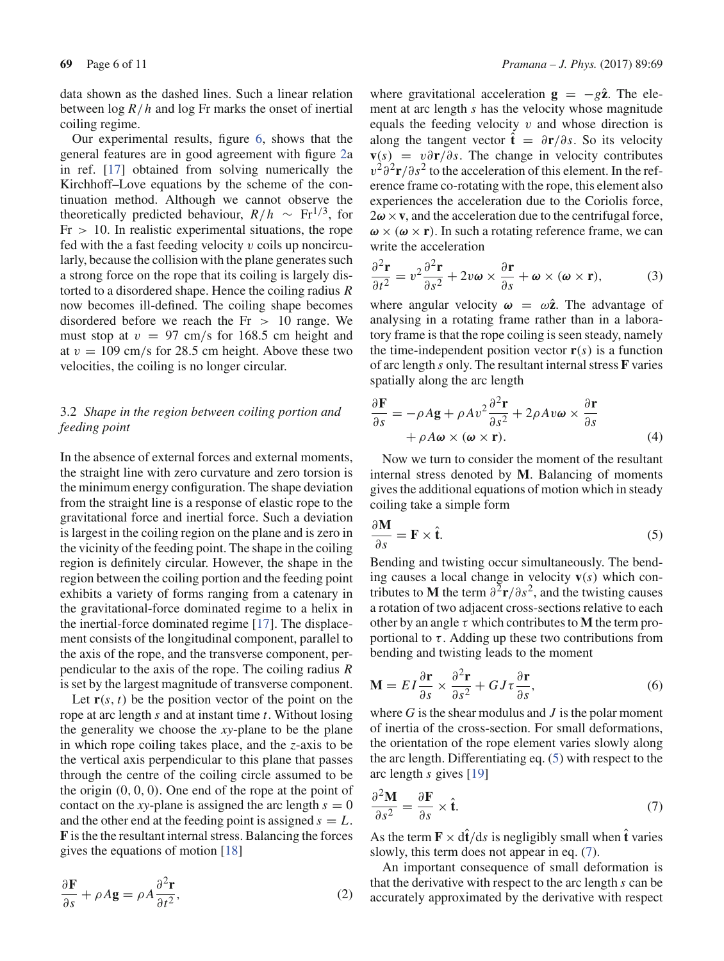data shown as the dashed lines. Such a linear relation between log *R*/*h* and log Fr marks the onset of inertial coiling regime.

Our experimental results, figure 6, shows that the general features are in good agreement with figure 2a in ref. [17] obtained from solving numerically the Kirchhoff–Love equations by the scheme of the continuation method. Although we cannot observe the theoretically predicted behaviour,  $R/h \sim Fr^{1/3}$ , for  $Fr > 10$ . In realistic experimental situations, the rope fed with the a fast feeding velocity  $v$  coils up noncircularly, because the collision with the plane generates such a strong force on the rope that its coiling is largely distorted to a disordered shape. Hence the coiling radius *R* now becomes ill-defined. The coiling shape becomes disordered before we reach the  $Fr > 10$  range. We must stop at  $v = 97$  cm/s for 168.5 cm height and at  $v = 109$  cm/s for 28.5 cm height. Above these two velocities, the coiling is no longer circular.

# 3.2 *Shape in the region between coiling portion and feeding point*

In the absence of external forces and external moments, the straight line with zero curvature and zero torsion is the minimum energy configuration. The shape deviation from the straight line is a response of elastic rope to the gravitational force and inertial force. Such a deviation is largest in the coiling region on the plane and is zero in the vicinity of the feeding point. The shape in the coiling region is definitely circular. However, the shape in the region between the coiling portion and the feeding point exhibits a variety of forms ranging from a catenary in the gravitational-force dominated regime to a helix in the inertial-force dominated regime [17]. The displacement consists of the longitudinal component, parallel to the axis of the rope, and the transverse component, perpendicular to the axis of the rope. The coiling radius *R* is set by the largest magnitude of transverse component.

Let  $\mathbf{r}(s, t)$  be the position vector of the point on the rope at arc length *s* and at instant time *t*. Without losing the generality we choose the *xy*-plane to be the plane in which rope coiling takes place, and the *z*-axis to be the vertical axis perpendicular to this plane that passes through the centre of the coiling circle assumed to be the origin  $(0, 0, 0)$ . One end of the rope at the point of contact on the *xy*-plane is assigned the arc length  $s = 0$ and the other end at the feeding point is assigned  $s = L$ . **F** is the the resultant internal stress. Balancing the forces gives the equations of motion [18]

$$
\frac{\partial \mathbf{F}}{\partial s} + \rho A \mathbf{g} = \rho A \frac{\partial^2 \mathbf{r}}{\partial t^2},\tag{2}
$$

where gravitational acceleration  $\mathbf{g} = -g\hat{\mathbf{z}}$ . The element at arc length *s* has the velocity whose magnitude equals the feeding velocity  $v$  and whose direction is along the tangent vector  $\hat{\mathbf{t}} = \frac{\partial \mathbf{r}}{\partial s}$ . So its velocity  $\mathbf{v}(s) = v \partial \mathbf{r}/\partial s$ . The change in velocity contributes v2∂2**r**/∂*s*<sup>2</sup> to the acceleration of this element. In the reference frame co-rotating with the rope, this element also experiences the acceleration due to the Coriolis force,  $2\omega \times v$ , and the acceleration due to the centrifugal force,  $\omega \times (\omega \times r)$ . In such a rotating reference frame, we can write the acceleration

$$
\frac{\partial^2 \mathbf{r}}{\partial t^2} = v^2 \frac{\partial^2 \mathbf{r}}{\partial s^2} + 2v\boldsymbol{\omega} \times \frac{\partial \mathbf{r}}{\partial s} + \boldsymbol{\omega} \times (\boldsymbol{\omega} \times \mathbf{r}),\tag{3}
$$

where angular velocity  $\omega = \omega \hat{z}$ . The advantage of analysing in a rotating frame rather than in a laboratory frame is that the rope coiling is seen steady, namely the time-independent position vector  $\mathbf{r}(s)$  is a function of arc length *s* only. The resultant internal stress **F** varies spatially along the arc length

$$
\frac{\partial \mathbf{F}}{\partial s} = -\rho A \mathbf{g} + \rho A v^2 \frac{\partial^2 \mathbf{r}}{\partial s^2} + 2\rho A v \boldsymbol{\omega} \times \frac{\partial \mathbf{r}}{\partial s} + \rho A \boldsymbol{\omega} \times (\boldsymbol{\omega} \times \mathbf{r}).
$$
\n(4)

Now we turn to consider the moment of the resultant internal stress denoted by **M**. Balancing of moments gives the additional equations of motion which in steady coiling take a simple form

$$
\frac{\partial \mathbf{M}}{\partial s} = \mathbf{F} \times \hat{\mathbf{t}}.\tag{5}
$$

Bending and twisting occur simultaneously. The bending causes a local change in velocity  $\mathbf{v}(s)$  which contributes to **M** the term  $\partial^2 \mathbf{r}/\partial s^2$ , and the twisting causes a rotation of two adjacent cross-sections relative to each other by an angle  $\tau$  which contributes to **M** the term proportional to  $\tau$ . Adding up these two contributions from bending and twisting leads to the moment

$$
\mathbf{M} = EI \frac{\partial \mathbf{r}}{\partial s} \times \frac{\partial^2 \mathbf{r}}{\partial s^2} + GJ\tau \frac{\partial \mathbf{r}}{\partial s},
$$
(6)

where *G* is the shear modulus and *J* is the polar moment of inertia of the cross-section. For small deformations, the orientation of the rope element varies slowly along the arc length. Differentiating eq. (5) with respect to the arc length *s* gives [19]

$$
\frac{\partial^2 \mathbf{M}}{\partial s^2} = \frac{\partial \mathbf{F}}{\partial s} \times \hat{\mathbf{t}}.\tag{7}
$$

As the term  $\mathbf{F} \times d\hat{\mathbf{t}}/ds$  is negligibly small when  $\hat{\mathbf{t}}$  varies slowly, this term does not appear in eq. (7).

An important consequence of small deformation is that the derivative with respect to the arc length *s* can be accurately approximated by the derivative with respect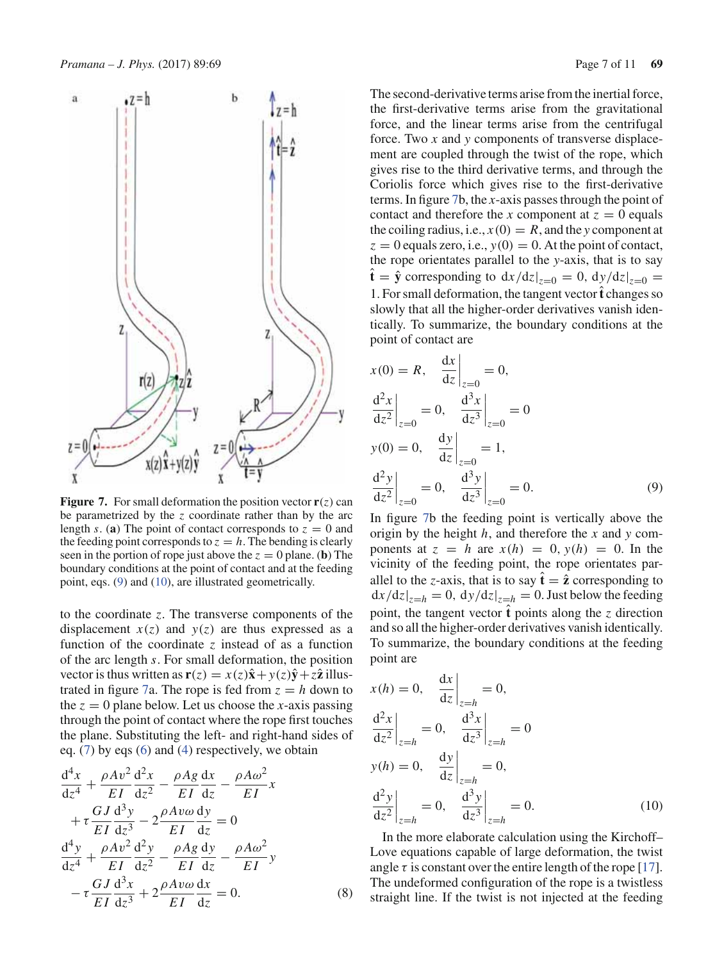

**Figure 7.** For small deformation the position vector  $\mathbf{r}(z)$  can be parametrized by the *z* coordinate rather than by the arc length *s*. (a) The point of contact corresponds to  $z = 0$  and the feeding point corresponds to  $z = h$ . The bending is clearly seen in the portion of rope just above the  $z = 0$  plane. (**b**) The boundary conditions at the point of contact and at the feeding point, eqs. (9) and (10), are illustrated geometrically.

to the coordinate *z*. The transverse components of the displacement  $x(z)$  and  $y(z)$  are thus expressed as a function of the coordinate *z* instead of as a function of the arc length *s*. For small deformation, the position vector is thus written as  $\mathbf{r}(z) = x(z)\hat{\mathbf{x}} + y(z)\hat{\mathbf{y}} + z\hat{\mathbf{z}}$  illustrated in figure 7a. The rope is fed from  $z = h$  down to the  $z = 0$  plane below. Let us choose the *x*-axis passing through the point of contact where the rope first touches the plane. Substituting the left- and right-hand sides of eq. (7) by eqs (6) and (4) respectively, we obtain

$$
\frac{d^4x}{dz^4} + \frac{\rho A v^2}{EI} \frac{d^2x}{dz^2} - \frac{\rho A g}{EI} \frac{dx}{dz} - \frac{\rho A \omega^2}{EI} x
$$
  
+  $\tau \frac{G J}{EI} \frac{d^3y}{dz^3} - 2 \frac{\rho A v \omega}{EI} \frac{dy}{dz} = 0$   

$$
\frac{d^4y}{dz^4} + \frac{\rho A v^2}{EI} \frac{d^2y}{dz^2} - \frac{\rho A g}{EI} \frac{dy}{dz} - \frac{\rho A \omega^2}{EI} y
$$
  
-  $\tau \frac{G J}{EI} \frac{d^3x}{dz^3} + 2 \frac{\rho A v \omega}{EI} \frac{dx}{dz} = 0.$  (8)

The second-derivative terms arise from the inertial force, the first-derivative terms arise from the gravitational force, and the linear terms arise from the centrifugal force. Two *x* and *y* components of transverse displacement are coupled through the twist of the rope, which gives rise to the third derivative terms, and through the Coriolis force which gives rise to the first-derivative terms. In figure 7b, the *x*-axis passes through the point of contact and therefore the *x* component at  $z = 0$  equals the coiling radius, i.e.,  $x(0) = R$ , and the *y* component at  $z = 0$  equals zero, i.e.,  $y(0) = 0$ . At the point of contact, the rope orientates parallel to the *y*-axis, that is to say  $\hat{\mathbf{t}} = \hat{\mathbf{y}}$  corresponding to  $dx/dz|_{z=0} = 0$ ,  $dy/dz|_{z=0} = 0$ 1. For small deformation, the tangent vector  $\hat{\bf{t}}$  changes so slowly that all the higher-order derivatives vanish identically. To summarize, the boundary conditions at the point of contact are

$$
x(0) = R, \quad \frac{dx}{dz}\Big|_{z=0} = 0,
$$
  
\n
$$
\frac{d^2x}{dz^2}\Big|_{z=0} = 0, \quad \frac{d^3x}{dz^3}\Big|_{z=0} = 0
$$
  
\n
$$
y(0) = 0, \quad \frac{dy}{dz}\Big|_{z=0} = 1,
$$
  
\n
$$
\frac{d^2y}{dz^2}\Big|_{z=0} = 0, \quad \frac{d^3y}{dz^3}\Big|_{z=0} = 0.
$$
\n(9)

In figure 7b the feeding point is vertically above the origin by the height *h*, and therefore the *x* and *y* components at  $z = h$  are  $x(h) = 0$ ,  $y(h) = 0$ . In the vicinity of the feeding point, the rope orientates parallel to the *z*-axis, that is to say  $\hat{\mathbf{t}} = \hat{\mathbf{z}}$  corresponding to  $dx/dz|_{z=h} = 0$ ,  $dy/dz|_{z=h} = 0$ . Just below the feeding point, the tangent vector  $\hat{\mathbf{t}}$  points along the *z* direction and so all the higher-order derivatives vanish identically. To summarize, the boundary conditions at the feeding point are

$$
x(h) = 0, \quad \frac{dx}{dz}\Big|_{z=h} = 0,
$$
  
\n
$$
\frac{d^2x}{dz^2}\Big|_{z=h} = 0, \quad \frac{d^3x}{dz^3}\Big|_{z=h} = 0
$$
  
\n
$$
y(h) = 0, \quad \frac{dy}{dz}\Big|_{z=h} = 0,
$$
  
\n
$$
\frac{d^2y}{dz^2}\Big|_{z=h} = 0, \quad \frac{d^3y}{dz^3}\Big|_{z=h} = 0.
$$
\n(10)

In the more elaborate calculation using the Kirchoff– Love equations capable of large deformation, the twist angle  $\tau$  is constant over the entire length of the rope [17]. The undeformed configuration of the rope is a twistless straight line. If the twist is not injected at the feeding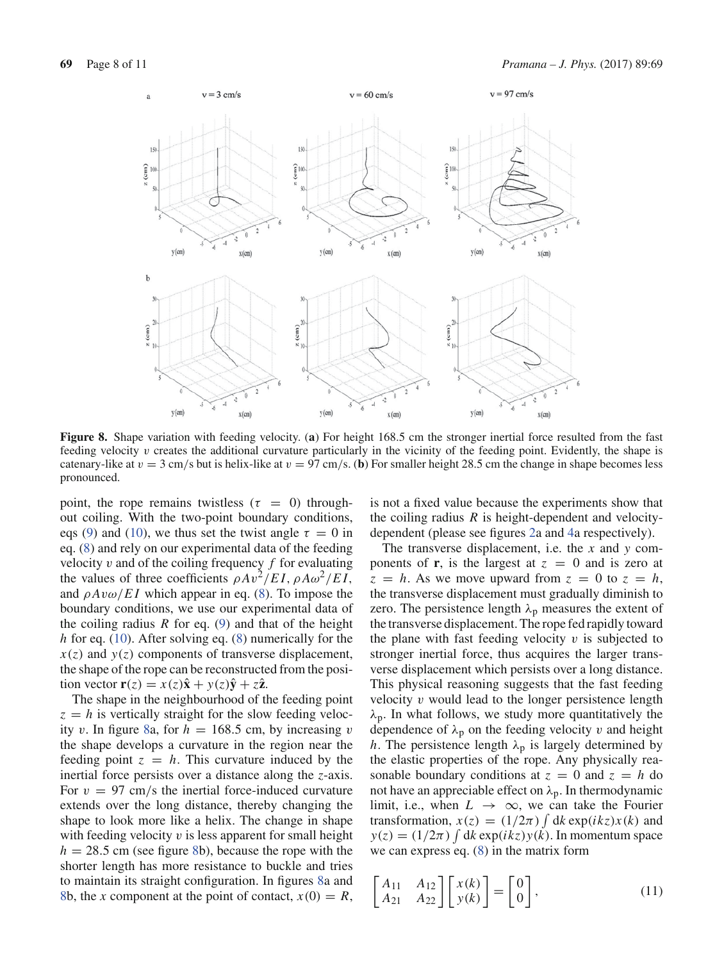

**Figure 8.** Shape variation with feeding velocity. (**a**) For height 168.5 cm the stronger inertial force resulted from the fast feeding velocity v creates the additional curvature particularly in the vicinity of the feeding point. Evidently, the shape is catenary-like at  $v = 3$  cm/s but is helix-like at  $v = 97$  cm/s. (b) For smaller height 28.5 cm the change in shape becomes less pronounced.

point, the rope remains twistless ( $\tau = 0$ ) throughout coiling. With the two-point boundary conditions, eqs (9) and (10), we thus set the twist angle  $\tau = 0$  in eq. (8) and rely on our experimental data of the feeding velocity v and of the coiling frequency *f* for evaluating the values of three coefficients  $\rho A v^2 / EI$ ,  $\rho A \omega^2 / EI$ , and  $\rho A v \omega / EI$  which appear in eq. (8). To impose the boundary conditions, we use our experimental data of the coiling radius  $R$  for eq. (9) and that of the height *h* for eq. (10). After solving eq. (8) numerically for the  $x(z)$  and  $y(z)$  components of transverse displacement, the shape of the rope can be reconstructed from the position vector  $\mathbf{r}(z) = x(z)\hat{\mathbf{x}} + y(z)\hat{\mathbf{y}} + z\hat{\mathbf{z}}$ .

The shape in the neighbourhood of the feeding point  $z = h$  is vertically straight for the slow feeding velocity v. In figure 8a, for  $h = 168.5$  cm, by increasing v the shape develops a curvature in the region near the feeding point  $z = h$ . This curvature induced by the inertial force persists over a distance along the *z*-axis. For  $v = 97$  cm/s the inertial force-induced curvature extends over the long distance, thereby changing the shape to look more like a helix. The change in shape with feeding velocity  $v$  is less apparent for small height  $h = 28.5$  cm (see figure 8b), because the rope with the shorter length has more resistance to buckle and tries to maintain its straight configuration. In figures 8a and 8b, the *x* component at the point of contact,  $x(0) = R$ , is not a fixed value because the experiments show that the coiling radius *R* is height-dependent and velocitydependent (please see figures 2a and 4a respectively).

The transverse displacement, i.e. the *x* and *y* components of **r**, is the largest at  $z = 0$  and is zero at  $z = h$ . As we move upward from  $z = 0$  to  $z = h$ , the transverse displacement must gradually diminish to zero. The persistence length  $\lambda_p$  measures the extent of the transverse displacement. The rope fed rapidly toward the plane with fast feeding velocity  $v$  is subjected to stronger inertial force, thus acquires the larger transverse displacement which persists over a long distance. This physical reasoning suggests that the fast feeding velocity  $v$  would lead to the longer persistence length  $\lambda_p$ . In what follows, we study more quantitatively the dependence of  $\lambda_p$  on the feeding velocity v and height *h*. The persistence length  $\lambda_p$  is largely determined by the elastic properties of the rope. Any physically reasonable boundary conditions at  $z = 0$  and  $z = h$  do not have an appreciable effect on  $\lambda_p$ . In thermodynamic limit, i.e., when  $L \rightarrow \infty$ , we can take the Fourier transformation,  $x(z) = (1/2\pi) \int dk \exp(ikz)x(k)$  and  $y(z) = (1/2\pi) \int dk \exp(ikz)y(k)$ . In momentum space we can express eq. (8) in the matrix form

$$
\begin{bmatrix} A_{11} & A_{12} \\ A_{21} & A_{22} \end{bmatrix} \begin{bmatrix} x(k) \\ y(k) \end{bmatrix} = \begin{bmatrix} 0 \\ 0 \end{bmatrix},
$$
 (11)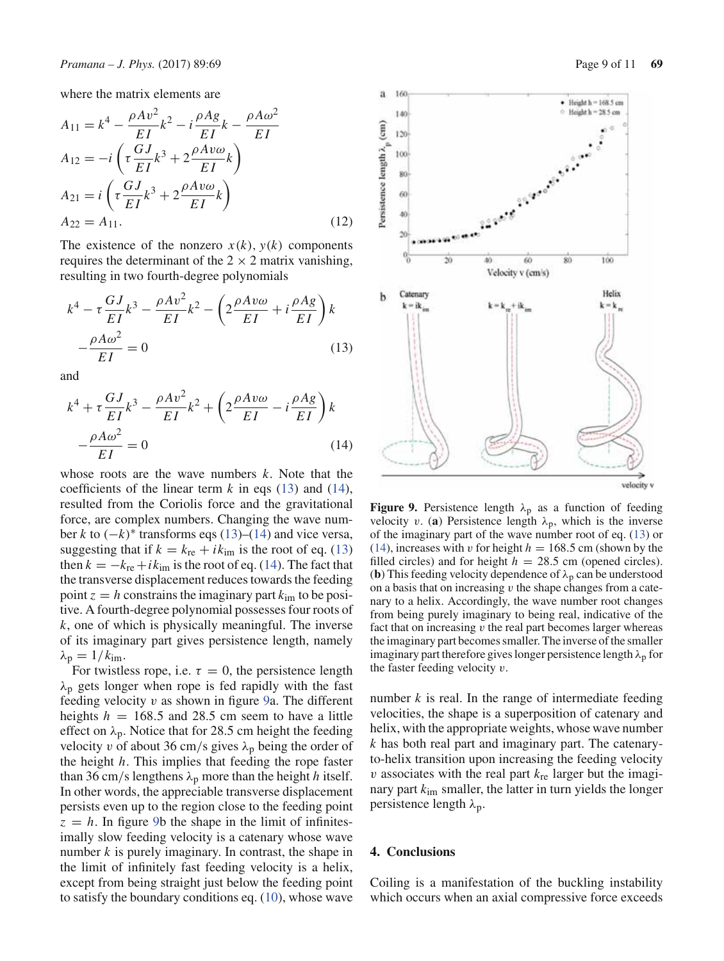where the matrix elements are

$$
A_{11} = k^4 - \frac{\rho A v^2}{EI} k^2 - i \frac{\rho A g}{EI} k - \frac{\rho A \omega^2}{EI}
$$
  
\n
$$
A_{12} = -i \left( \tau \frac{GJ}{EI} k^3 + 2 \frac{\rho A v \omega}{EI} k \right)
$$
  
\n
$$
A_{21} = i \left( \tau \frac{GJ}{EI} k^3 + 2 \frac{\rho A v \omega}{EI} k \right)
$$
  
\n
$$
A_{22} = A_{11}.
$$
\n(12)

The existence of the nonzero  $x(k)$ ,  $y(k)$  components requires the determinant of the  $2 \times 2$  matrix vanishing, resulting in two fourth-degree polynomials

$$
k^4 - \tau \frac{GJ}{EI} k^3 - \frac{\rho A v^2}{EI} k^2 - \left( 2 \frac{\rho A v \omega}{EI} + i \frac{\rho A g}{EI} \right) k
$$

$$
-\frac{\rho A \omega^2}{EI} = 0
$$
(13)

and

$$
k^4 + \tau \frac{GJ}{EI} k^3 - \frac{\rho A v^2}{EI} k^2 + \left( 2 \frac{\rho A v \omega}{EI} - i \frac{\rho A g}{EI} \right) k
$$

$$
-\frac{\rho A \omega^2}{EI} = 0
$$
(14)

whose roots are the wave numbers *k*. Note that the coefficients of the linear term  $k$  in eqs (13) and (14), resulted from the Coriolis force and the gravitational force, are complex numbers. Changing the wave number *k* to (−*k*)<sup>∗</sup> transforms eqs (13)–(14) and vice versa, suggesting that if  $k = k_{\text{re}} + ik_{\text{im}}$  is the root of eq. (13) then  $k = -k_{\text{re}} + i k_{\text{im}}$  is the root of eq. (14). The fact that the transverse displacement reduces towards the feeding point  $z = h$  constrains the imaginary part  $k_{\text{im}}$  to be positive. A fourth-degree polynomial possesses four roots of *k*, one of which is physically meaningful. The inverse of its imaginary part gives persistence length, namely  $\lambda_{\rm p} = 1/k_{\rm im}$ .

For twistless rope, i.e.  $\tau = 0$ , the persistence length  $\lambda_p$  gets longer when rope is fed rapidly with the fast feeding velocity  $v$  as shown in figure 9a. The different heights  $h = 168.5$  and 28.5 cm seem to have a little effect on  $\lambda_p$ . Notice that for 28.5 cm height the feeding velocity v of about 36 cm/s gives  $\lambda_p$  being the order of the height *h*. This implies that feeding the rope faster than 36 cm/s lengthens  $\lambda_p$  more than the height *h* itself. In other words, the appreciable transverse displacement persists even up to the region close to the feeding point  $z = h$ . In figure 9b the shape in the limit of infinitesimally slow feeding velocity is a catenary whose wave number *k* is purely imaginary. In contrast, the shape in the limit of infinitely fast feeding velocity is a helix, except from being straight just below the feeding point to satisfy the boundary conditions eq. (10), whose wave



**Figure 9.** Persistence length  $\lambda_p$  as a function of feeding velocity v. (a) Persistence length  $\lambda_p$ , which is the inverse of the imaginary part of the wave number root of eq. (13) or (14), increases with v for height  $h = 168.5$  cm (shown by the filled circles) and for height  $h = 28.5$  cm (opened circles). (**b**) This feeding velocity dependence of  $\lambda_p$  can be understood on a basis that on increasing  $v$  the shape changes from a catenary to a helix. Accordingly, the wave number root changes from being purely imaginary to being real, indicative of the fact that on increasing  $v$  the real part becomes larger whereas the imaginary part becomes smaller. The inverse of the smaller imaginary part therefore gives longer persistence length  $\lambda_p$  for the faster feeding velocity  $v$ .

number *k* is real. In the range of intermediate feeding velocities, the shape is a superposition of catenary and helix, with the appropriate weights, whose wave number *k* has both real part and imaginary part. The catenaryto-helix transition upon increasing the feeding velocity v associates with the real part *k*re larger but the imaginary part *k*im smaller, the latter in turn yields the longer persistence length  $\lambda_p$ .

### **4. Conclusions**

Coiling is a manifestation of the buckling instability which occurs when an axial compressive force exceeds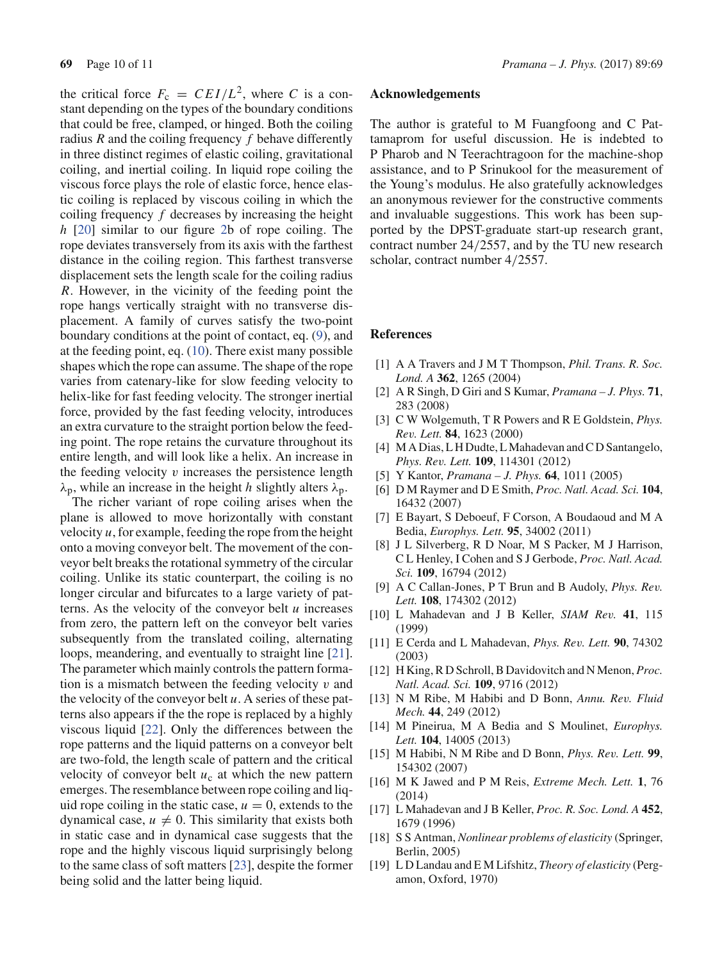the critical force  $F_c = \frac{CEI}{L^2}$ , where *C* is a constant depending on the types of the boundary conditions that could be free, clamped, or hinged. Both the coiling radius *R* and the coiling frequency *f* behave differently in three distinct regimes of elastic coiling, gravitational coiling, and inertial coiling. In liquid rope coiling the viscous force plays the role of elastic force, hence elastic coiling is replaced by viscous coiling in which the coiling frequency *f* decreases by increasing the height *h* [20] similar to our figure 2b of rope coiling. The rope deviates transversely from its axis with the farthest distance in the coiling region. This farthest transverse displacement sets the length scale for the coiling radius *R*. However, in the vicinity of the feeding point the rope hangs vertically straight with no transverse displacement. A family of curves satisfy the two-point boundary conditions at the point of contact, eq. (9), and at the feeding point, eq. (10). There exist many possible shapes which the rope can assume. The shape of the rope varies from catenary-like for slow feeding velocity to helix-like for fast feeding velocity. The stronger inertial force, provided by the fast feeding velocity, introduces an extra curvature to the straight portion below the feeding point. The rope retains the curvature throughout its entire length, and will look like a helix. An increase in the feeding velocity  $v$  increases the persistence length  $\lambda_p$ , while an increase in the height *h* slightly alters  $\lambda_p$ .

The richer variant of rope coiling arises when the plane is allowed to move horizontally with constant velocity *u*, for example, feeding the rope from the height onto a moving conveyor belt. The movement of the conveyor belt breaks the rotational symmetry of the circular coiling. Unlike its static counterpart, the coiling is no longer circular and bifurcates to a large variety of patterns. As the velocity of the conveyor belt *u* increases from zero, the pattern left on the conveyor belt varies subsequently from the translated coiling, alternating loops, meandering, and eventually to straight line [21]. The parameter which mainly controls the pattern formation is a mismatch between the feeding velocity  $v$  and the velocity of the conveyor belt *u*. A series of these patterns also appears if the the rope is replaced by a highly viscous liquid [22]. Only the differences between the rope patterns and the liquid patterns on a conveyor belt are two-fold, the length scale of pattern and the critical velocity of conveyor belt  $u_c$  at which the new pattern emerges. The resemblance between rope coiling and liquid rope coiling in the static case,  $u = 0$ , extends to the dynamical case,  $u \neq 0$ . This similarity that exists both in static case and in dynamical case suggests that the rope and the highly viscous liquid surprisingly belong to the same class of soft matters [23], despite the former being solid and the latter being liquid.

### **Acknowledgements**

The author is grateful to M Fuangfoong and C Pattamaprom for useful discussion. He is indebted to P Pharob and N Teerachtragoon for the machine-shop assistance, and to P Srinukool for the measurement of the Young's modulus. He also gratefully acknowledges an anonymous reviewer for the constructive comments and invaluable suggestions. This work has been supported by the DPST-graduate start-up research grant, contract number 24/2557, and by the TU new research scholar, contract number 4/2557.

# **References**

- [1] A A Travers and J M T Thompson, *Phil. Trans. R. Soc. Lond. A* **362**, 1265 (2004)
- [2] A R Singh, D Giri and S Kumar, *Pramana J. Phys.* **71**, 283 (2008)
- [3] C W Wolgemuth, T R Powers and R E Goldstein, *Phys. Rev. Lett.* **84**, 1623 (2000)
- [4] M A Dias, L H Dudte, L Mahadevan and C D Santangelo, *Phys. Rev. Lett.* **109**, 114301 (2012)
- [5] Y Kantor, *Pramana J. Phys.* **64**, 1011 (2005)
- [6] D M Raymer and D E Smith, *Proc. Natl. Acad. Sci.* **104**, 16432 (2007)
- [7] E Bayart, S Deboeuf, F Corson, A Boudaoud and M A Bedia, *Europhys. Lett.* **95**, 34002 (2011)
- [8] J L Silverberg, R D Noar, M S Packer, M J Harrison, C L Henley, I Cohen and S J Gerbode, *Proc. Natl. Acad. Sci.* **109**, 16794 (2012)
- [9] A C Callan-Jones, P T Brun and B Audoly, *Phys. Rev. Lett.* **108**, 174302 (2012)
- [10] L Mahadevan and J B Keller, *SIAM Rev.* **41**, 115 (1999)
- [11] E Cerda and L Mahadevan, *Phys. Rev. Lett.* **90**, 74302 (2003)
- [12] H King, R D Schroll, B Davidovitch and N Menon, *Proc. Natl. Acad. Sci.* **109**, 9716 (2012)
- [13] N M Ribe, M Habibi and D Bonn, *Annu. Rev. Fluid Mech.* **44**, 249 (2012)
- [14] M Pineirua, M A Bedia and S Moulinet, *Europhys. Lett.* **104**, 14005 (2013)
- [15] M Habibi, N M Ribe and D Bonn, *Phys. Rev. Lett.* **99**, 154302 (2007)
- [16] M K Jawed and P M Reis, *Extreme Mech. Lett.* **1**, 76 (2014)
- [17] L Mahadevan and J B Keller, *Proc. R. Soc. Lond. A* **452**, 1679 (1996)
- [18] S S Antman, *Nonlinear problems of elasticity* (Springer, Berlin, 2005)
- [19] L D Landau and E M Lifshitz, *Theory of elasticity* (Pergamon, Oxford, 1970)